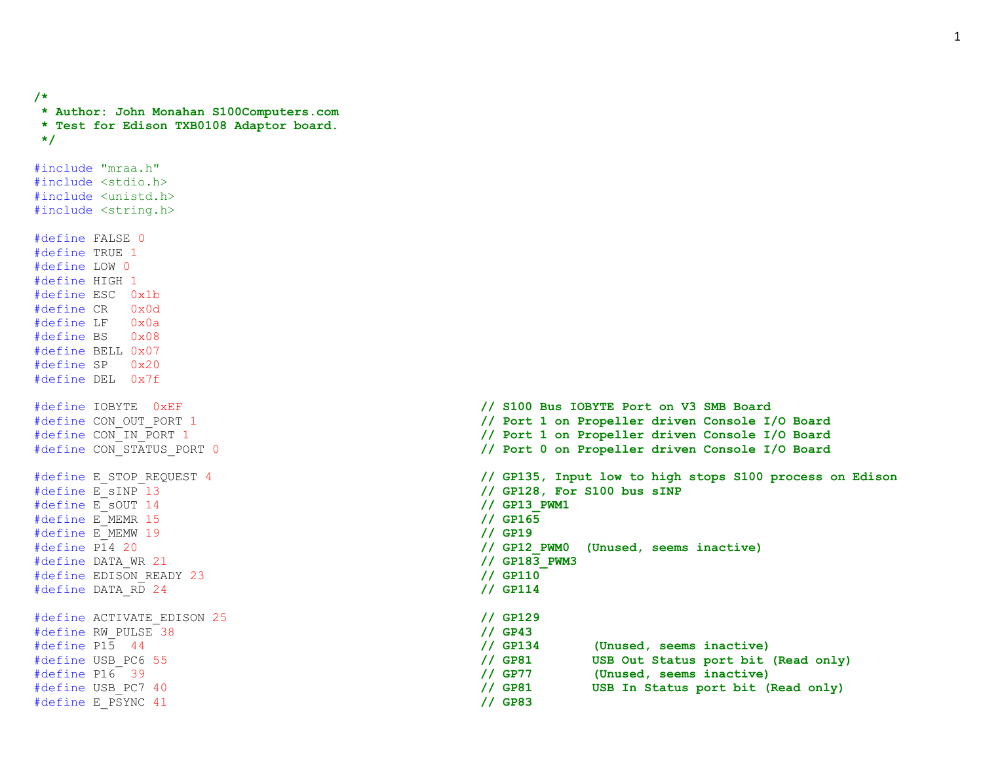```
* Author: John Monahan S100Computers.com
* Test for Edison TXB0108 Adaptor board.
*/
#include "mraa.h"
#include <stdio.h>
#include <unistd.h>
#include <string.h>
#define FALSE 0
#define TRUE 1
#define LOW 0
#define HIGH 1
#define ESC 0x1b
#define CR 0x0d
#define LF 0x0a
#define BS 0x08
#define BELL 0x07
#define SP 0x20
#define DEL 0x7f
#define E_sINP 13 // GP128, For S100 bus sINP
#define E_sOUT 14 // GP13_PWM1
#define E_MEMR 15 // GP165
#define E_MEMW 19 // GP19
#define DATA_WR 21 // GP183_PWM3
#define EDISON_READY 23 // GP110
#define DATA_RD 24 // GP114
#define ACTIVATE_EDISON 25 // GP129
#define RW_PULSE 38 // GP43
#define E_PSYNC 41 // GP83
```
**/\***

```
#define IOBYTE 0xEF // S100 Bus IOBYTE Port on V3 SMB Board
#define CON_OUT_PORT 1 // Port 1 on Propeller driven Console I/O Board
#define CON_IN_PORT 1 // Port 1 on Propeller driven Console I/O Board
#define CON_STATUS_PORT 0 // Port 0 on Propeller driven Console I/O Board
#define E_STOP_REQUEST 4 // GP135, Input low to high stops S100 process on Edison
#define P14 20 // GP12_PWM0 (Unused, seems inactive)
#define P15 44 // GP134 (Unused, seems inactive)
#define USB_PC6 55 // GP81 USB Out Status port bit (Read only)
#define P16 39 // GP77 (Unused, seems inactive)
#define USB_PC7 40 // GP81 USB In Status port bit (Read only)
```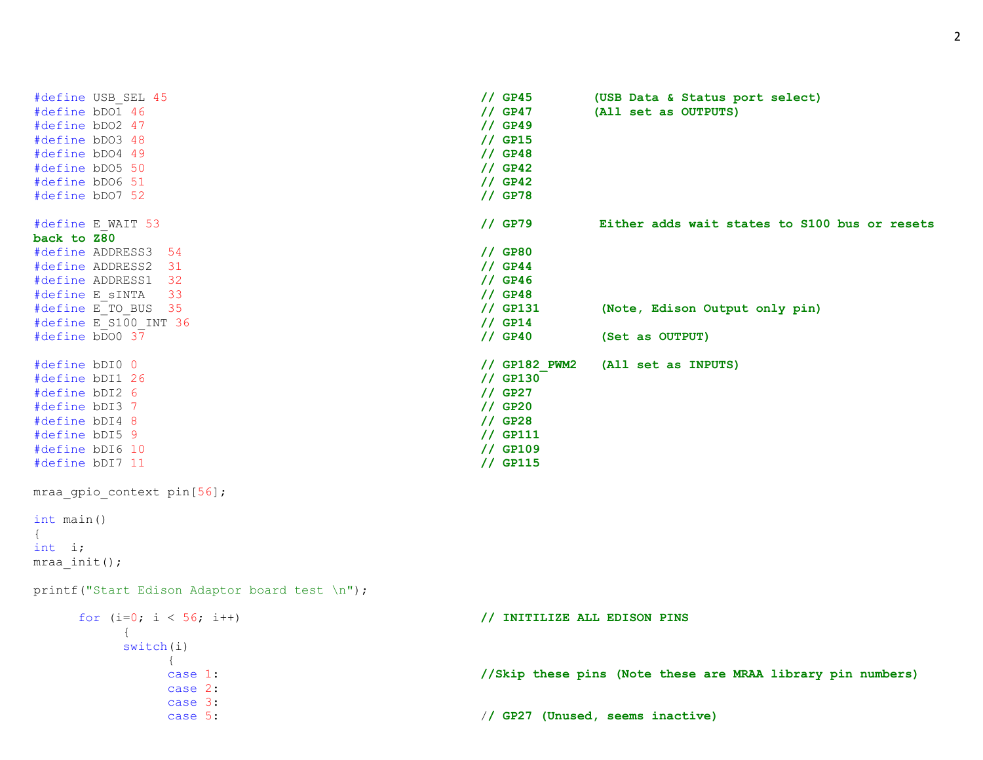```
#define USB_SEL 45 // GP45 (USB Data & Status port select)
#define bDO1 46 // GP47 (All set as OUTPUTS)
#define bDO2 47 // GP49
#define bDO3 48 // GP15
#define bDO4 49 // GP48
#define bDO5 50 // GP42
#define bDO6 51 // GP42
#define bDO7 52 // GP78
#define E_WAIT 53 // GP79 Either adds wait states to S100 bus or resets 
back to Z80
#define ADDRESS3 54 // GP80
#define ADDRESS2 31 // GP44
#define ADDRESS1 32 // GP46
#define E_sINTA 33 // GP48
                             // GP131 (Note, Edison Output only pin)
#define E_S100_INT 36 // GP14
#define bDO0 37 // GP40 (Set as OUTPUT)
#define bDI0 0 // GP182_PWM2 (All set as INPUTS)
#define bDI1 26 // GP130
#define bDI2 6 // GP27
#define bDI3 7 // GP20
#define bDI4 8 // GP28
#define bDI5 9 // GP111
#define bDI6 10 // GP109
#define bDI7 11 // GP115
mraa gpio context pin[56];
int main()
{
int i;
mraa init();
printf("Start Edison Adaptor board test \n");
  for (i=0; i < 56; i++) // INITILIZE ALL EDISON PINS
     {
     switch(i)
        \left\{ \right.case 1: //Skip these pins (Note these are MRAA library pin numbers)
        case 2:
        case 3:
        case 5: // GP27 (Unused, seems inactive)
```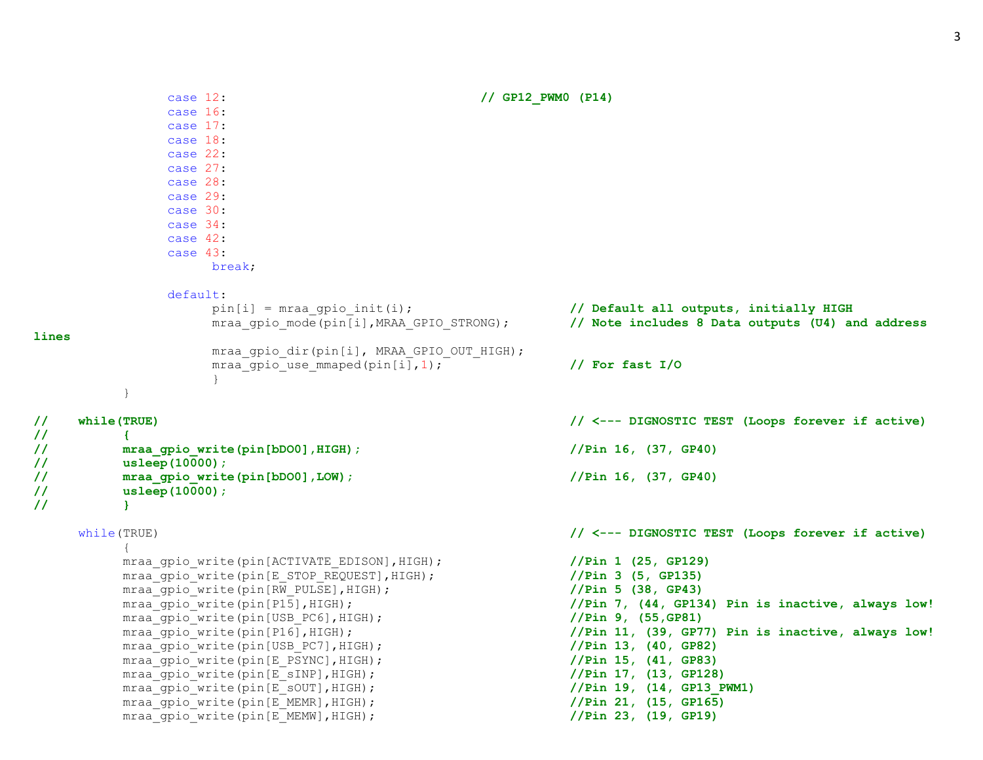3

```
case 12: // GP12_PWM0 (P14)
             case 16:
             case 17:
             case 18:
             case 22:
             case 27:
             case 28:
             case 29:
             case 30:
             case 34:
             case 42:
             case 43:
                 break;
             default:
                 pin[i] = mraa_gpio_init(i); // Default all outputs, initially HIGH
                 mraa_gpio_mode(pin[i],MRAA_GPIO_STRONG); // Note includes 8 Data outputs (U4) and address 
lines
                 mraa gpio dir(pin[i], MRAA GPIO OUT HIGH);
                 mraa gpio use mmaped(pin[i],1); \frac{1}{2} // For fast I/O
                 }
        }
// while(TRUE) // <--- DIGNOSTIC TEST (Loops forever if active)
// {
// mraa_gpio_write(pin[bDO0],HIGH); //Pin 16, (37, GP40)
// usleep(10000);
// mraa_gpio_write(pin[bDO0],LOW); //Pin 16, (37, GP40)
// usleep(10000);
// }
    while(TRUE) // <--- DIGNOSTIC TEST (Loops forever if active)
        {
        mraa_gpio_write(pin[ACTIVATE_EDISON],HIGH); //Pin 1 (25, GP129)
        mraa_gpio_write(pin[E_STOP_REQUEST],HIGH); //Pin 3 (5, GP135)
        mraa gpio write(pin[RW_PULSE],HIGH); //Pin 5 (38, GP43)
        mraa gpio write(pin[P15],HIGH); //Pin 7, (44, GP134) Pin is inactive, always low!
        mraa_gpio_write(pin[USB_PC6],HIGH); //Pin 9, (55,GP81)
        mraa gpio write(pin[P16],HIGH); //Pin 11, (39, GP77) Pin is inactive, always low!
        mraa_gpio_write(pin[USB_PC7],HIGH); //Pin 13, (40, GP82)
        mraa gpio write(pin[E_PSYNC],HIGH); //Pin 15, (41, GP83)mraa_gpio_write(pin[E_sINP],HIGH); //Pin 17, (13, GP128)
        mraa qpio write(pin[E_sOUT],HIGH); /Pin 19, (14, GP13 PWM1)
        mraa_gpio_write(pin[E_MEMR],HIGH); //Pin 21, (15, GP165)
        mraa_gpio_write(pin[E_MEMW],HIGH); //Pin 23, (19, GP19)
```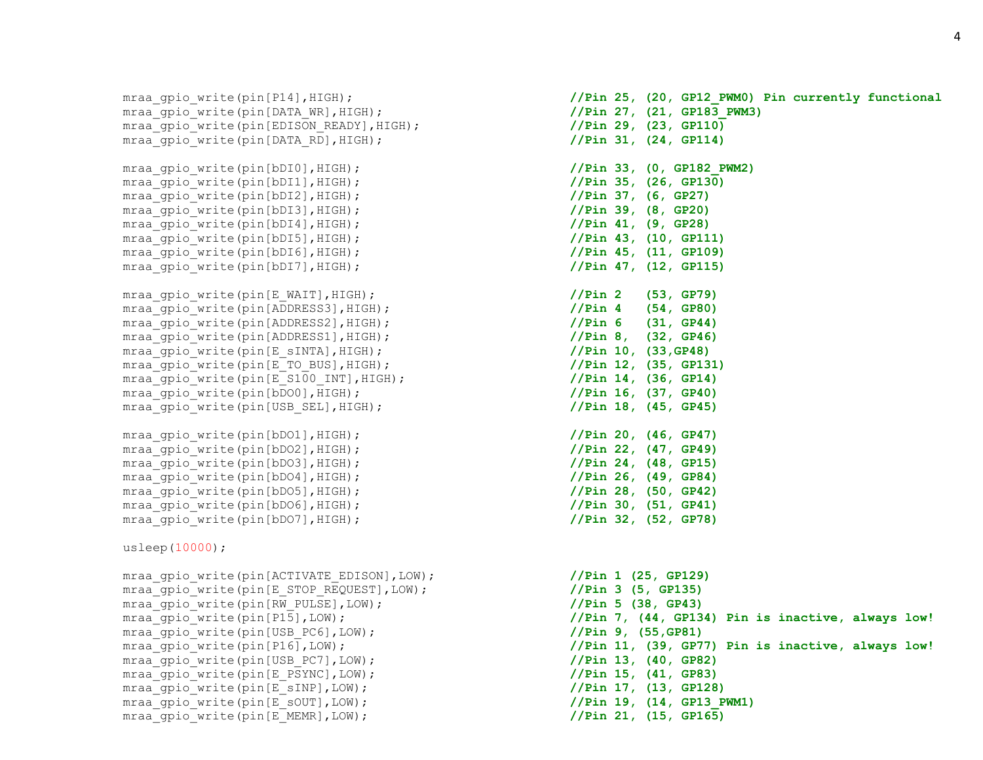mraa qpio write(pin[P14],HIGH); **//Pin 25, (20, GP12 PWM0) Pin currently functional** mraa gpio write(pin[DATA\_WR],HIGH); **//Pin 27, (21, GP183\_PWM3)** mraa qpio write(pin[EDISON READY], HIGH); **//Pin 29, (23, GP110)** mraa qpio write(pin[DATA\_RD],HIGH);  $/$ /Pin 31, (24, GP114) mraa\_gpio\_write(pin[bDI0],HIGH); **//Pin 33, (0, GP182\_PWM2)** mraa\_gpio\_write(pin[bDI1],HIGH); **//Pin 35, (26, GP130)** mraa\_gpio\_write(pin[bDI2],HIGH); **//Pin 37, (6, GP27)** mraa\_gpio\_write(pin[bDI3],HIGH); **//Pin 39, (8, GP20)** mraa\_gpio\_write(pin[bDI4],HIGH); **//Pin 41, (9, GP28)** mraa\_gpio\_write(pin[bDI5],HIGH); **//Pin 43, (10, GP111)** mraa\_gpio\_write(pin[bDI6],HIGH); **//Pin 45, (11, GP109)** mraa\_gpio\_write(pin[bDI7],HIGH); **//Pin 47, (12, GP115)** mraa\_gpio\_write(pin[E\_WAIT],HIGH); **//Pin 2 (53, GP79)** mraa\_gpio\_write(pin[ADDRESS3],HIGH); **//Pin 4 (54, GP80)** mraa qpio write(pin[ADDRESS2],HIGH); **//Pin 6 (31, GP44)** mraa qpio write(pin[ADDRESS1],HIGH); **//Pin 8, (32, GP46)** mraa\_gpio\_write(pin[E\_sINTA],HIGH); **//Pin 10, (33,GP48)** mraa\_gpio\_write(pin[E\_TO\_BUS],HIGH); **//Pin 12, (35, GP131)** mraa qpio write(pin[E\_S100\_INT],HIGH); **//Pin 14, (36, GP14)** mraa\_gpio\_write(pin[bDO0],HIGH); **//Pin 16, (37, GP40)** mraa qpio write(pin[USB\_SEL],HIGH); **//Pin 18, (45, GP45)** mraa\_gpio\_write(pin[bDO1],HIGH); **//Pin 20, (46, GP47)** mraa\_gpio\_write(pin[bDO2],HIGH); **//Pin 22, (47, GP49)** mraa\_gpio\_write(pin[bDO3],HIGH); **//Pin 24, (48, GP15)** mraa\_gpio\_write(pin[bDO4],HIGH); **//Pin 26, (49, GP84)** mraa\_gpio\_write(pin[bDO5],HIGH); **//Pin 28, (50, GP42)** mraa qpio write(pin[bDO6], HIGH);  $//Pin 30, (51, GP41)$ mraa\_gpio\_write(pin[bDO7],HIGH); **//Pin 32, (52, GP78)** usleep(10000); mraa\_gpio\_write(pin[ACTIVATE\_EDISON],LOW); **//Pin 1 (25, GP129)** mraa qpio write(pin[E\_STOP\_REQUEST],LOW); //Pin 3 (5, GP135) mraa gpio write(pin[RW\_PULSE],LOW);  $//Pin 5 (38, GP43)$ mraa gpio write(pin[P15],LOW); **//Pin 7, (44, GP134) Pin is inactive, always low!** mraa\_gpio\_write(pin[USB\_PC6],LOW); **//Pin 9, (55,GP81)** mraa gpio write(pin[P16],LOW); *//Pin 11, (39, GP77) Pin is inactive, always low!* mraa\_gpio\_write(pin[USB\_PC7],LOW); **//Pin 13, (40, GP82)** mraa qpio write(pin[E\_PSYNC],LOW);  $//Pin 15, (41, GP83)$ mraa\_gpio\_write(pin[E\_sINP],LOW); **//Pin 17, (13, GP128)** mraa qpio write(pin[E\_sOUT],LOW);  $/$ Pin 19, (14, GP13 PWM1) mraa\_gpio\_write(pin[E\_MEMR],LOW); **//Pin 21, (15, GP165)**